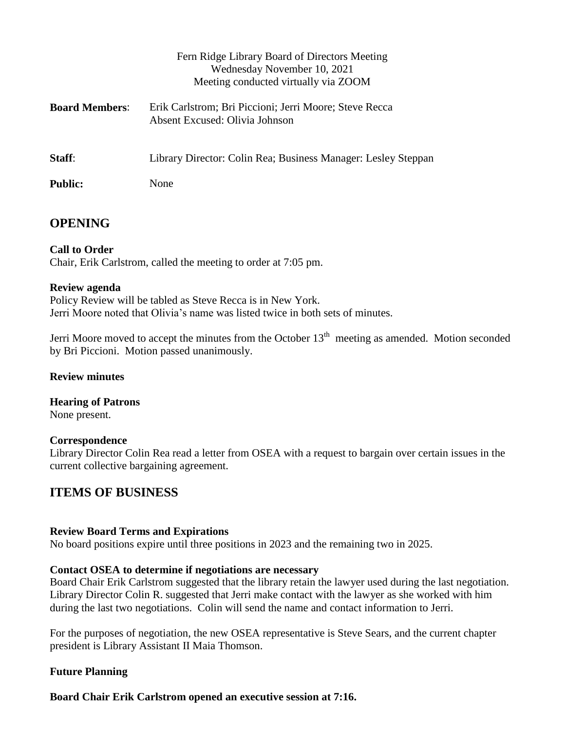|                       | Fern Ridge Library Board of Directors Meeting<br>Wednesday November 10, 2021<br>Meeting conducted virtually via ZOOM |
|-----------------------|----------------------------------------------------------------------------------------------------------------------|
| <b>Board Members:</b> | Erik Carlstrom; Bri Piccioni; Jerri Moore; Steve Recca<br>Absent Excused: Olivia Johnson                             |
| Staff:                | Library Director: Colin Rea; Business Manager: Lesley Steppan                                                        |
| <b>Public:</b>        | None                                                                                                                 |

# **OPENING**

## **Call to Order**

Chair, Erik Carlstrom, called the meeting to order at 7:05 pm.

## **Review agenda**

Policy Review will be tabled as Steve Recca is in New York. Jerri Moore noted that Olivia's name was listed twice in both sets of minutes.

Jerri Moore moved to accept the minutes from the October  $13<sup>th</sup>$  meeting as amended. Motion seconded by Bri Piccioni. Motion passed unanimously.

## **Review minutes**

**Hearing of Patrons** None present.

## **Correspondence**

Library Director Colin Rea read a letter from OSEA with a request to bargain over certain issues in the current collective bargaining agreement.

# **ITEMS OF BUSINESS**

## **Review Board Terms and Expirations**

No board positions expire until three positions in 2023 and the remaining two in 2025.

## **Contact OSEA to determine if negotiations are necessary**

Board Chair Erik Carlstrom suggested that the library retain the lawyer used during the last negotiation. Library Director Colin R. suggested that Jerri make contact with the lawyer as she worked with him during the last two negotiations. Colin will send the name and contact information to Jerri.

For the purposes of negotiation, the new OSEA representative is Steve Sears, and the current chapter president is Library Assistant II Maia Thomson.

# **Future Planning**

**Board Chair Erik Carlstrom opened an executive session at 7:16.**